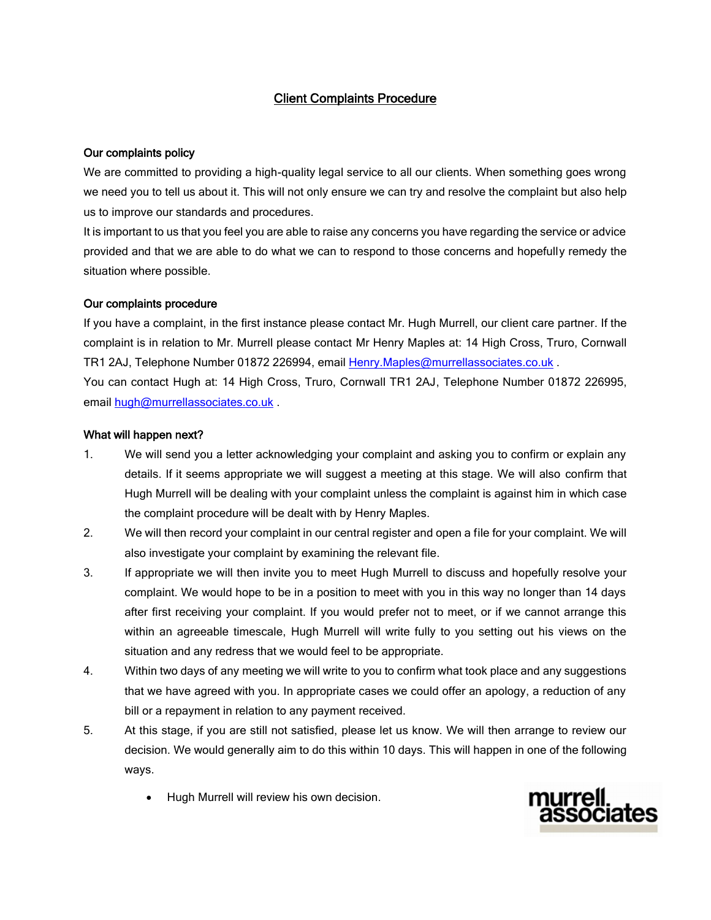## Client Complaints Procedure

## Our complaints policy

We are committed to providing a high-quality legal service to all our clients. When something goes wrong we need you to tell us about it. This will not only ensure we can try and resolve the complaint but also help us to improve our standards and procedures.

It is important to us that you feel you are able to raise any concerns you have regarding the service or advice provided and that we are able to do what we can to respond to those concerns and hopefully remedy the situation where possible.

## Our complaints procedure

If you have a complaint, in the first instance please contact Mr. Hugh Murrell, our client care partner. If the complaint is in relation to Mr. Murrell please contact Mr Henry Maples at: 14 High Cross, Truro, Cornwall TR1 2AJ, Telephone Number 01872 226994, email [Henry.Maples@murrellassociates.co.uk](mailto:Henry.Maples@murrellassociates.co.uk) .

You can contact Hugh at: 14 High Cross, Truro, Cornwall TR1 2AJ, Telephone Number 01872 226995, email [hugh@murrellassociates.co.uk](mailto:hugh@murrellassociates.co.uk) .

## What will happen next?

- 1. We will send you a letter acknowledging your complaint and asking you to confirm or explain any details. If it seems appropriate we will suggest a meeting at this stage. We will also confirm that Hugh Murrell will be dealing with your complaint unless the complaint is against him in which case the complaint procedure will be dealt with by Henry Maples.
- 2. We will then record your complaint in our central register and open a file for your complaint. We will also investigate your complaint by examining the relevant file.
- 3. If appropriate we will then invite you to meet Hugh Murrell to discuss and hopefully resolve your complaint. We would hope to be in a position to meet with you in this way no longer than 14 days after first receiving your complaint. If you would prefer not to meet, or if we cannot arrange this within an agreeable timescale, Hugh Murrell will write fully to you setting out his views on the situation and any redress that we would feel to be appropriate.
- 4. Within two days of any meeting we will write to you to confirm what took place and any suggestions that we have agreed with you. In appropriate cases we could offer an apology, a reduction of any bill or a repayment in relation to any payment received.
- 5. At this stage, if you are still not satisfied, please let us know. We will then arrange to review our decision. We would generally aim to do this within 10 days. This will happen in one of the following ways.
	- Hugh Murrell will review his own decision.